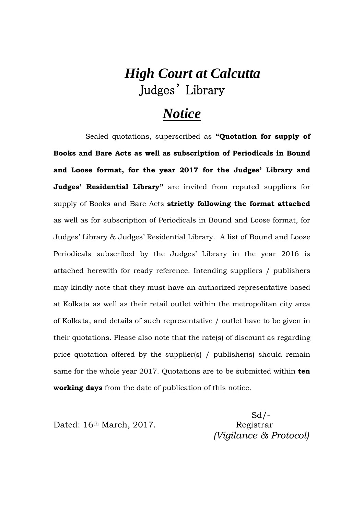## *High Court at Calcutta*  Judges' Library

## *Notice*

Sealed quotations, superscribed as **"Quotation for supply of Books and Bare Acts as well as subscription of Periodicals in Bound and Loose format, for the year 2017 for the Judges' Library and Judges' Residential Library"** are invited from reputed suppliers for supply of Books and Bare Acts **strictly following the format attached** as well as for subscription of Periodicals in Bound and Loose format, for Judges' Library & Judges' Residential Library. A list of Bound and Loose Periodicals subscribed by the Judges' Library in the year 2016 is attached herewith for ready reference. Intending suppliers / publishers may kindly note that they must have an authorized representative based at Kolkata as well as their retail outlet within the metropolitan city area of Kolkata, and details of such representative / outlet have to be given in their quotations. Please also note that the rate(s) of discount as regarding price quotation offered by the supplier(s) / publisher(s) should remain same for the whole year 2017. Quotations are to be submitted within **ten working days** from the date of publication of this notice.

Dated: 16<sup>th</sup> March, 2017. Registrar

 $Sd$  /- *(Vigilance & Protocol)*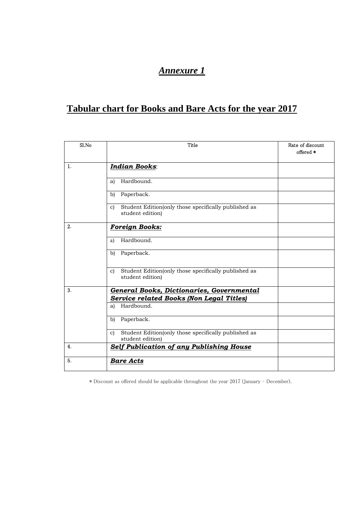## *Annexure 1*

## **Tabular chart for Books and Bare Acts for the year 2017**

| Sl.No          | Title                                                                                    | Rate of discount<br>offered * |
|----------------|------------------------------------------------------------------------------------------|-------------------------------|
| $\mathbf{1}$ . | <b>Indian Books:</b>                                                                     |                               |
|                | Hardbound.<br>a)                                                                         |                               |
|                | Paperback.<br>b)                                                                         |                               |
|                | Student Edition(only those specifically published as<br>c)<br>student edition)           |                               |
| 2.             | <b>Foreign Books:</b>                                                                    |                               |
|                | Hardbound.<br>a)                                                                         |                               |
|                | Paperback.<br>b)                                                                         |                               |
|                | Student Edition(only those specifically published as<br>C)<br>student edition)           |                               |
| 3.             | <b>General Books, Dictionaries, Governmental</b>                                         |                               |
|                | <b>Service related Books (Non Legal Titles)</b><br>Hardbound.<br>a)                      |                               |
|                | Paperback.<br>b)                                                                         |                               |
|                | Student Edition(only those specifically published as<br>$\mathbf{c}$<br>student edition) |                               |
| 4.             | Self Publication of any Publishing House                                                 |                               |
| 5.             | <b>Bare Acts</b>                                                                         |                               |

\* Discount as offered should be applicable throughout the year 2017 (January – December).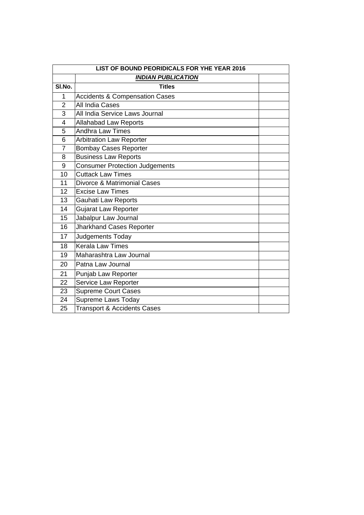| LIST OF BOUND PEORIDICALS FOR YHE YEAR 2016 |                                           |  |
|---------------------------------------------|-------------------------------------------|--|
|                                             | <b>INDIAN PUBLICATION</b>                 |  |
| SI.No.                                      | <b>Titles</b>                             |  |
| 1                                           | <b>Accidents &amp; Compensation Cases</b> |  |
| $\overline{2}$                              | All India Cases                           |  |
| 3                                           | All India Service Laws Journal            |  |
| $\overline{4}$                              | <b>Allahabad Law Reports</b>              |  |
| 5                                           | <b>Andhra Law Times</b>                   |  |
| 6                                           | <b>Arbitration Law Reporter</b>           |  |
| $\overline{7}$                              | <b>Bombay Cases Reporter</b>              |  |
| 8                                           | <b>Business Law Reports</b>               |  |
| 9                                           | Consumer Protection Judgements            |  |
| 10                                          | <b>Cuttack Law Times</b>                  |  |
| 11                                          | Divorce & Matrimonial Cases               |  |
| 12                                          | <b>Excise Law Times</b>                   |  |
| 13                                          | Gauhati Law Reports                       |  |
| 14                                          | Gujarat Law Reporter                      |  |
| 15                                          | Jabalpur Law Journal                      |  |
| 16                                          | Jharkhand Cases Reporter                  |  |
| 17                                          | Judgements Today                          |  |
| 18                                          | <b>Kerala Law Times</b>                   |  |
| 19                                          | Maharashtra Law Journal                   |  |
| 20                                          | Patna Law Journal                         |  |
| 21                                          | Punjab Law Reporter                       |  |
| 22                                          | Service Law Reporter                      |  |
| 23                                          | <b>Supreme Court Cases</b>                |  |
| 24                                          | Supreme Laws Today                        |  |
| 25                                          | <b>Transport &amp; Accidents Cases</b>    |  |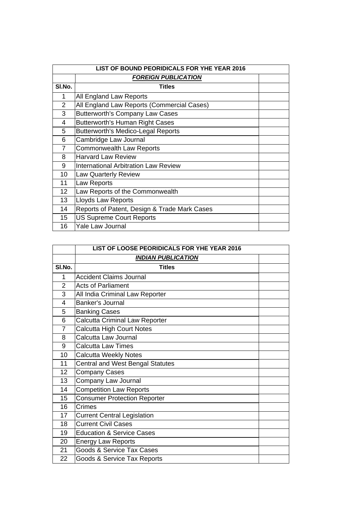| LIST OF BOUND PEORIDICALS FOR YHE YEAR 2016 |                                              |  |
|---------------------------------------------|----------------------------------------------|--|
|                                             | <b>FOREIGN PUBLICATION</b>                   |  |
| SI.No.                                      | <b>Titles</b>                                |  |
| 1                                           | All England Law Reports                      |  |
| 2                                           | All England Law Reports (Commercial Cases)   |  |
| 3                                           | <b>Butterworth's Company Law Cases</b>       |  |
| 4                                           | <b>Butterworth's Human Right Cases</b>       |  |
| 5                                           | <b>Butterworth's Medico-Legal Reports</b>    |  |
| 6                                           | Cambridge Law Journal                        |  |
| $\overline{7}$                              | <b>Commonwealth Law Reports</b>              |  |
| 8                                           | <b>Harvard Law Review</b>                    |  |
| 9                                           | <b>International Arbitration Law Review</b>  |  |
| 10                                          | <b>Law Quarterly Review</b>                  |  |
| 11                                          | Law Reports                                  |  |
| 12 <sup>2</sup>                             | Law Reports of the Commonwealth              |  |
| 13                                          | Lloyds Law Reports                           |  |
| 14                                          | Reports of Patent, Design & Trade Mark Cases |  |
| 15                                          | <b>US Supreme Court Reports</b>              |  |
| 16                                          | <b>Yale Law Journal</b>                      |  |

|                | LIST OF LOOSE PEORIDICALS FOR YHE YEAR 2016 |  |
|----------------|---------------------------------------------|--|
|                | <b>INDIAN PUBLICATION</b>                   |  |
| SI.No.         | <b>Titles</b>                               |  |
| 1              | <b>Accident Claims Journal</b>              |  |
| $\overline{2}$ | <b>Acts of Parliament</b>                   |  |
| 3              | All India Criminal Law Reporter             |  |
| 4              | Banker's Journal                            |  |
| 5              | <b>Banking Cases</b>                        |  |
| 6              | <b>Calcutta Criminal Law Reporter</b>       |  |
| $\overline{7}$ | <b>Calcutta High Court Notes</b>            |  |
| 8              | Calcutta Law Journal                        |  |
| 9              | <b>Calcutta Law Times</b>                   |  |
| 10             | <b>Calcutta Weekly Notes</b>                |  |
| 11             | <b>Central and West Bengal Statutes</b>     |  |
| 12             | <b>Company Cases</b>                        |  |
| 13             | Company Law Journal                         |  |
| 14             | <b>Competition Law Reports</b>              |  |
| 15             | <b>Consumer Protection Reporter</b>         |  |
| 16             | Crimes                                      |  |
| 17             | <b>Current Central Legislation</b>          |  |
| 18             | <b>Current Civil Cases</b>                  |  |
| 19             | <b>Education &amp; Service Cases</b>        |  |
| 20             | <b>Energy Law Reports</b>                   |  |
| 21             | Goods & Service Tax Cases                   |  |
| 22             | Goods & Service Tax Reports                 |  |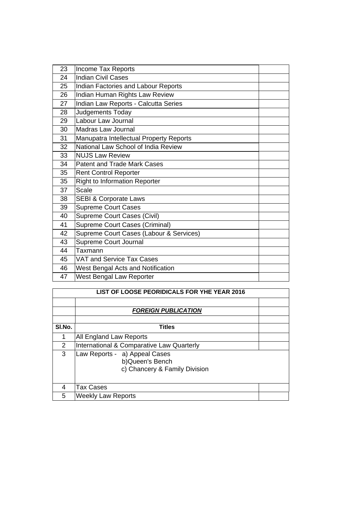| Income Tax Reports                      |  |
|-----------------------------------------|--|
| <b>Indian Civil Cases</b>               |  |
| Indian Factories and Labour Reports     |  |
| Indian Human Rights Law Review          |  |
| Indian Law Reports - Calcutta Series    |  |
| Judgements Today                        |  |
| Labour Law Journal                      |  |
| Madras Law Journal                      |  |
| Manupatra Intellectual Property Reports |  |
| National Law School of India Review     |  |
| <b>NUJS Law Review</b>                  |  |
| <b>Patent and Trade Mark Cases</b>      |  |
| <b>Rent Control Reporter</b>            |  |
| <b>Right to Information Reporter</b>    |  |
| Scale                                   |  |
| <b>SEBI &amp; Corporate Laws</b>        |  |
| <b>Supreme Court Cases</b>              |  |
| Supreme Court Cases (Civil)             |  |
| Supreme Court Cases (Criminal)          |  |
| Supreme Court Cases (Labour & Services) |  |
| Supreme Court Journal                   |  |
| Taxmann                                 |  |
| VAT and Service Tax Cases               |  |
| West Bengal Acts and Notification       |  |
| West Bengal Law Reporter                |  |
|                                         |  |

| LIST OF LOOSE PEORIDICALS FOR YHE YEAR 2016 |                                                                                    |  |
|---------------------------------------------|------------------------------------------------------------------------------------|--|
|                                             | <b>FOREIGN PUBLICATION</b>                                                         |  |
| SI.No.                                      | <b>Titles</b>                                                                      |  |
|                                             | All England Law Reports                                                            |  |
| 2                                           | International & Comparative Law Quarterly                                          |  |
| 3                                           | Law Reports - a) Appeal Cases<br>b) Queen's Bench<br>c) Chancery & Family Division |  |
| 4                                           | Tax Cases                                                                          |  |
| 5                                           | <b>Weekly Law Reports</b>                                                          |  |